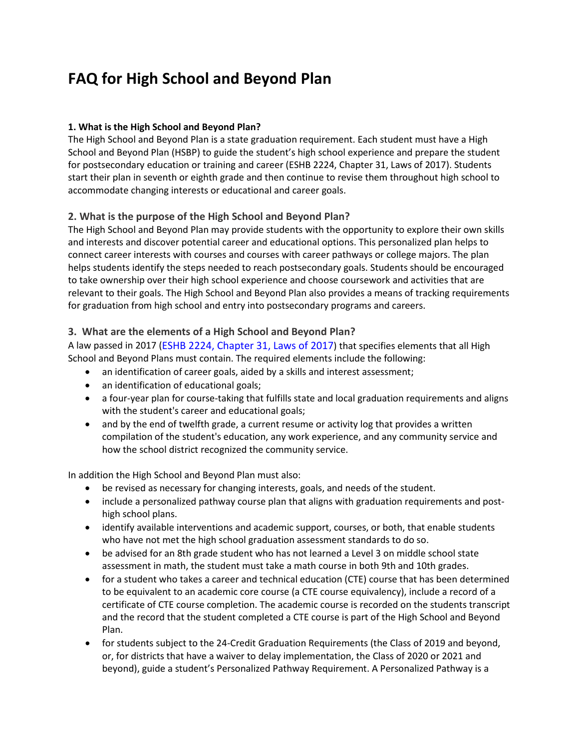# **FAQ for High School and Beyond Plan**

## **1. What is the High School and Beyond Plan?**

The High School and Beyond Plan is a state graduation requirement. Each student must have a High School and Beyond Plan (HSBP) to guide the student's high school experience and prepare the student for postsecondary education or training and career (ESHB 2224, Chapter 31, Laws of 2017). Students start their plan in seventh or eighth grade and then continue to revise them throughout high school to accommodate changing interests or educational and career goals.

## **2. What is the purpose of the High School and Beyond Plan?**

The High School and Beyond Plan may provide students with the opportunity to explore their own skills and interests and discover potential career and educational options. This personalized plan helps to connect career interests with courses and courses with career pathways or college majors. The plan helps students identify the steps needed to reach postsecondary goals. Students should be encouraged to take ownership over their high school experience and choose coursework and activities that are relevant to their goals. The High School and Beyond Plan also provides a means of tracking requirements for graduation from high school and entry into postsecondary programs and careers.

### **3. What are the elements of a High School and Beyond Plan?**

A law passed in 2017 [\(ESHB 2224, Chapter 31, Laws of 2017\)](http://app.leg.wa.gov/billsummary?BillNumber=2224&Year=2017) that specifies elements that all High School and Beyond Plans must contain. The required elements include the following:

- an identification of career goals, aided by a skills and interest assessment;
- an identification of educational goals;
- a four-year plan for course-taking that fulfills state and local graduation requirements and aligns with the student's career and educational goals;
- and by the end of twelfth grade, a current resume or activity log that provides a written compilation of the student's education, any work experience, and any community service and how the school district recognized the community service.

In addition the High School and Beyond Plan must also:

- be revised as necessary for changing interests, goals, and needs of the student.
- include a personalized pathway course plan that aligns with graduation requirements and posthigh school plans.
- identify available interventions and academic support, courses, or both, that enable students who have not met the high school graduation assessment standards to do so.
- be advised for an 8th grade student who has not learned a Level 3 on middle school state assessment in math, the student must take a math course in both 9th and 10th grades.
- for a student who takes a career and technical education (CTE) course that has been determined to be equivalent to an academic core course (a CTE course equivalency), include a record of a certificate of CTE course completion. The academic course is recorded on the students transcript and the record that the student completed a CTE course is part of the High School and Beyond Plan.
- for students subject to the 24-Credit Graduation Requirements (the Class of 2019 and beyond, or, for districts that have a waiver to delay implementation, the Class of 2020 or 2021 and beyond), guide a student's Personalized Pathway Requirement. A Personalized Pathway is a